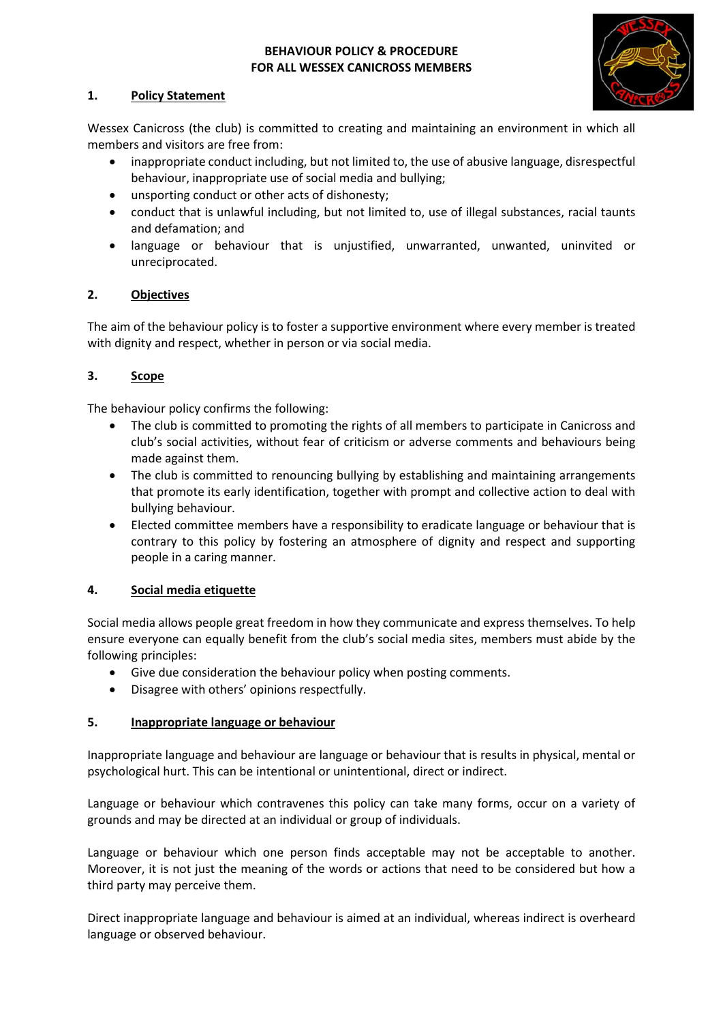## **BEHAVIOUR POLICY & PROCEDURE FOR ALL WESSEX CANICROSS MEMBERS**



## **1. Policy Statement**

Wessex Canicross (the club) is committed to creating and maintaining an environment in which all members and visitors are free from:

- inappropriate conduct including, but not limited to, the use of abusive language, disrespectful behaviour, inappropriate use of social media and bullying;
- unsporting conduct or other acts of dishonesty;
- conduct that is unlawful including, but not limited to, use of illegal substances, racial taunts and defamation; and
- language or behaviour that is unjustified, unwarranted, unwanted, uninvited or unreciprocated.

# **2. Objectives**

The aim of the behaviour policy is to foster a supportive environment where every member is treated with dignity and respect, whether in person or via social media.

## **3. Scope**

The behaviour policy confirms the following:

- The club is committed to promoting the rights of all members to participate in Canicross and club's social activities, without fear of criticism or adverse comments and behaviours being made against them.
- The club is committed to renouncing bullying by establishing and maintaining arrangements that promote its early identification, together with prompt and collective action to deal with bullying behaviour.
- Elected committee members have a responsibility to eradicate language or behaviour that is contrary to this policy by fostering an atmosphere of dignity and respect and supporting people in a caring manner.

#### **4. Social media etiquette**

Social media allows people great freedom in how they communicate and express themselves. To help ensure everyone can equally benefit from the club's social media sites, members must abide by the following principles:

- Give due consideration the behaviour policy when posting comments.
- Disagree with others' opinions respectfully.

#### **5. Inappropriate language or behaviour**

Inappropriate language and behaviour are language or behaviour that is results in physical, mental or psychological hurt. This can be intentional or unintentional, direct or indirect.

Language or behaviour which contravenes this policy can take many forms, occur on a variety of grounds and may be directed at an individual or group of individuals.

Language or behaviour which one person finds acceptable may not be acceptable to another. Moreover, it is not just the meaning of the words or actions that need to be considered but how a third party may perceive them.

Direct inappropriate language and behaviour is aimed at an individual, whereas indirect is overheard language or observed behaviour.